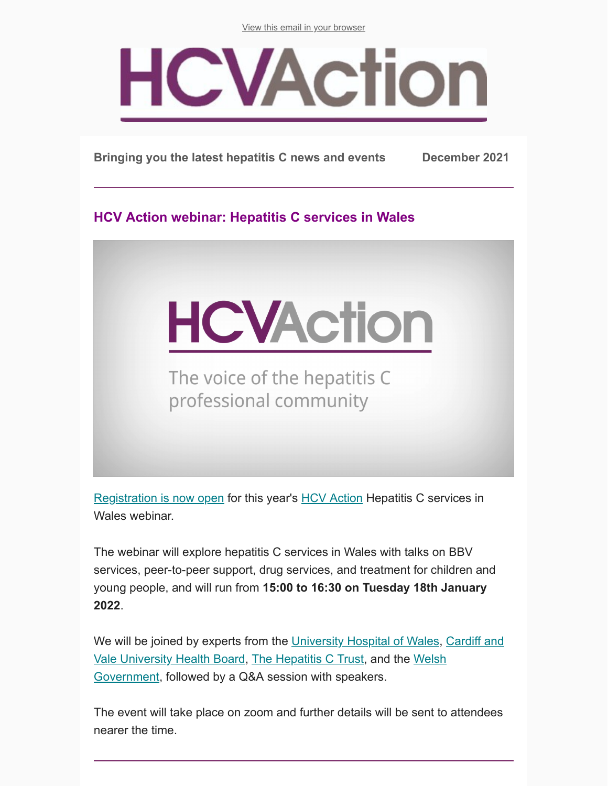[View this email in your browser](https://mailchi.mp/5af2844751c1/hcv-action-e-update-may-8953506?e=283adaad80)

## **HCVAction**

**Bringing you the latest hepatitis C news and events December 2021**

**HCV Action webinar: Hepatitis C services in Wales**



The voice of the hepatitis C professional community

[Registration is now open](https://us02web.zoom.us/webinar/register/WN_SSj-rKRlSPeUQFA_83v09w) for this year's **[HCV Action](http://www.hcvaction.org.uk/) Hepatitis C services in** Wales webinar.

The webinar will explore hepatitis C services in Wales with talks on BBV services, peer-to-peer support, drug services, and treatment for children and young people, and will run from **15:00 to 16:30 on Tuesday 18th January 2022**.

[We will be joined by experts from the University Hospital of Wales, Cardiff and](https://cavuhb.nhs.wales/) [Vale University Health Board, The Hepatitis C Trust, and the Welsh](https://gov.wales/) Government, followed by a Q&A session with speakers.

The event will take place on zoom and further details will be sent to attendees nearer the time.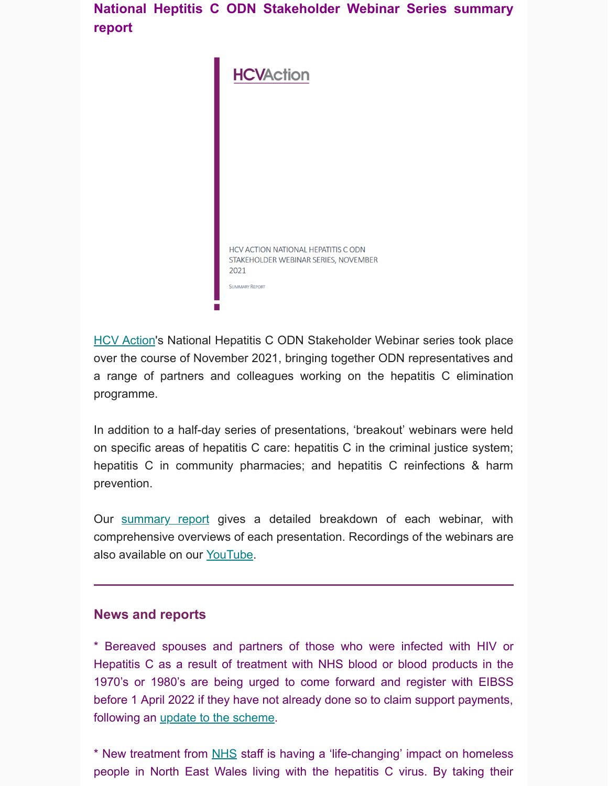**National Heptitis C ODN Stakeholder Webinar Series summary report**



**[HCV Action](http://hcvaction.org.uk/)'s National Hepatitis C ODN Stakeholder Webinar series took place** over the course of November 2021, bringing together ODN representatives and a range of partners and colleagues working on the hepatitis C elimination programme.

In addition to a half-day series of presentations, 'breakout' webinars were held on specific areas of hepatitis C care: hepatitis C in the criminal justice system; hepatitis C in community pharmacies; and hepatitis C reinfections & harm prevention.

Our **[summary report](http://hcvaction.org.uk/resource/national-hepatitis-c-odn-stakeholder-webinar-series-2021-summary-report)** gives a detailed breakdown of each webinar, with comprehensive overviews of each presentation. Recordings of the webinars are also available on our [YouTube](https://www.youtube.com/channel/UCb0L_Sm8JS3Uik18B4myO9Q).

## **News and reports**

\* Bereaved spouses and partners of those who were infected with HIV or Hepatitis C as a result of treatment with NHS blood or blood products in the 1970's or 1980's are being urged to come forward and register with EIBSS before 1 April 2022 if they have not already done so to claim support payments, following an *update to the scheme*.

\* New treatment from [NHS](https://www.nhs.uk/) staff is having a 'life-changing' impact on homeless people in North East Wales living with the hepatitis C virus. By taking their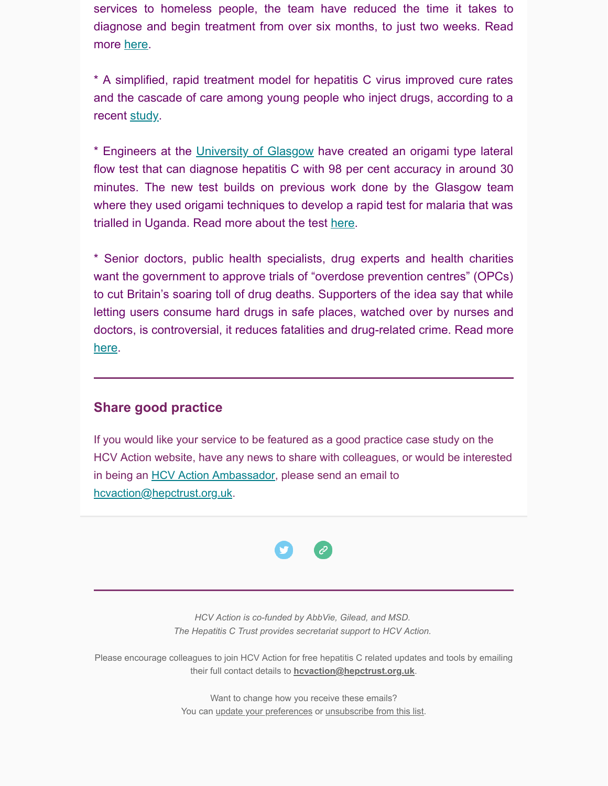services to homeless people, the team have reduced the time it takes to diagnose and begin treatment from over six months, to just two weeks. Read more [here](https://www.leaderlive.co.uk/news/19766928.life-changing-treatment-homeless-people-hepatitis-c).

\* A simplified, rapid treatment model for hepatitis C virus improved cure rates and the cascade of care among young people who inject drugs, according to a recent [study.](https://www.healio.com/news/hepatology/20211202/rapid-treatment-model-improves-hcv-care-in-injection-drug-users)

\* Engineers at the [University of Glasgow](https://www.gla.ac.uk/) have created an origami type lateral flow test that can diagnose hepatitis C with 98 per cent accuracy in around 30 minutes. The new test builds on previous work done by the Glasgow team where they used origami techniques to develop a rapid test for malaria that was trialled in Uganda. Read more about the test [here](https://www.theengineer.co.uk/origami-test-for-rapid-hepatitis-c-screening/).

\* Senior doctors, public health specialists, drug experts and health charities want the government to approve trials of "overdose prevention centres" (OPCs) to cut Britain's soaring toll of drug deaths. Supporters of the idea say that while letting users consume hard drugs in safe places, watched over by nurses and doctors, is controversial, it reduces fatalities and drug-related crime. Read more [here](https://www.theguardian.com/politics/2021/dec/12/overdose-prevention-centres-will-save-lives-say-uk-senior-doctors).

## **Share good practice**

If you would like your service to be featured as a good practice case study on the HCV Action website, have any news to share with colleagues, or would be interested in being an **[HCV Action Ambassador](http://hcvaction.org.uk/hcv-action-ambassador-network)**, please send an email to [hcvaction@hepctrust.org.uk](mailto:hcvaction@hepctrust.org.uk).



*HCV Action is co-funded by AbbVie, Gilead, and MSD. The Hepatitis C Trust provides secretariat support to HCV Action.*

Please encourage colleagues to join HCV Action for free hepatitis C related updates and tools by emailing their full contact details to **[hcvaction@hepctrust.org.uk](mailto:hcvaction@hepctrust.org.uk)**.

> Want to change how you receive these emails? You can [update your preferences](https://hcvaction.us12.list-manage.com/profile?u=b3061589d4a2e4790a1667a40&id=98931119cf&e=283adaad80) or [unsubscribe from this list.](https://hcvaction.us12.list-manage.com/unsubscribe?u=b3061589d4a2e4790a1667a40&id=98931119cf&e=283adaad80&c=b0a6c55a36)